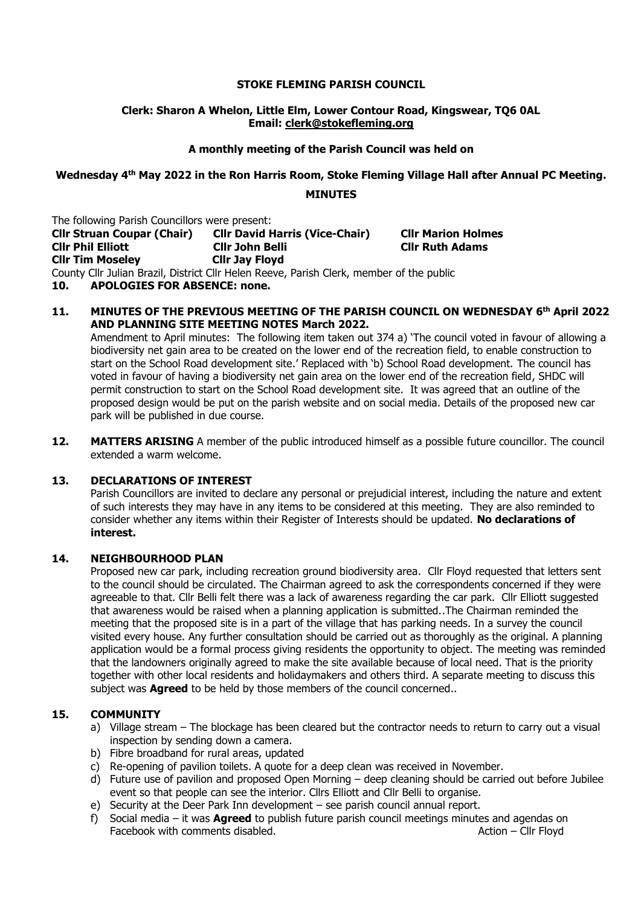#### **STOKE FLEMING PARISH COUNCIL**

### **Clerk: Sharon A Whelon, Little Elm, Lower Contour Road, Kingswear, TQ6 0AL Email: clerk@stokefleming.org**

### **A monthly meeting of the Parish Council was held on**

# **Wednesday 4 th May 2022 in the Ron Harris Room, Stoke Fleming Village Hall after Annual PC Meeting. MINUTES**

The following Parish Councillors were present:

**Cllr Struan Coupar (Chair) Cllr David Harris (Vice-Chair) Cllr Marion Holmes Cllr Phil Elliott Cllr John Belli Cllr Ruth Adams Cllr Tim Moseley Cllr Jay Floyd**

County Cllr Julian Brazil, District Cllr Helen Reeve, Parish Clerk, member of the public

**10. APOLOGIES FOR ABSENCE: none.**

#### **11. MINUTES OF THE PREVIOUS MEETING OF THE PARISH COUNCIL ON WEDNESDAY 6 th April 2022 AND PLANNING SITE MEETING NOTES March 2022.**

Amendment to April minutes: The following item taken out 374 a) 'The council voted in favour of allowing a biodiversity net gain area to be created on the lower end of the recreation field, to enable construction to start on the School Road development site.' Replaced with 'b) School Road development. The council has voted in favour of having a biodiversity net gain area on the lower end of the recreation field, SHDC will permit construction to start on the School Road development site. It was agreed that an outline of the proposed design would be put on the parish website and on social media. Details of the proposed new car park will be published in due course.

**12. MATTERS ARISING** A member of the public introduced himself as a possible future councillor. The council extended a warm welcome.

### **13. DECLARATIONS OF INTEREST**

Parish Councillors are invited to declare any personal or prejudicial interest, including the nature and extent of such interests they may have in any items to be considered at this meeting. They are also reminded to consider whether any items within their Register of Interests should be updated. **No declarations of interest.**

### **14. NEIGHBOURHOOD PLAN**

Proposed new car park, including recreation ground biodiversity area. Cllr Floyd requested that letters sent to the council should be circulated. The Chairman agreed to ask the correspondents concerned if they were agreeable to that. Cllr Belli felt there was a lack of awareness regarding the car park. Cllr Elliott suggested that awareness would be raised when a planning application is submitted..The Chairman reminded the meeting that the proposed site is in a part of the village that has parking needs. In a survey the council visited every house. Any further consultation should be carried out as thoroughly as the original. A planning application would be a formal process giving residents the opportunity to object. The meeting was reminded that the landowners originally agreed to make the site available because of local need. That is the priority together with other local residents and holidaymakers and others third. A separate meeting to discuss this subject was **Agreed** to be held by those members of the council concerned..

### **15. COMMUNITY**

- a) Village stream The blockage has been cleared but the contractor needs to return to carry out a visual inspection by sending down a camera.
- b) Fibre broadband for rural areas, updated
- c) Re-opening of pavilion toilets. A quote for a deep clean was received in November.
- d) Future use of pavilion and proposed Open Morning deep cleaning should be carried out before Jubilee event so that people can see the interior. Cllrs Elliott and Cllr Belli to organise.
- e) Security at the Deer Park Inn development see parish council annual report.
- f) Social media it was **Agreed** to publish future parish council meetings minutes and agendas on Facebook with comments disabled. Action – Clir Floyd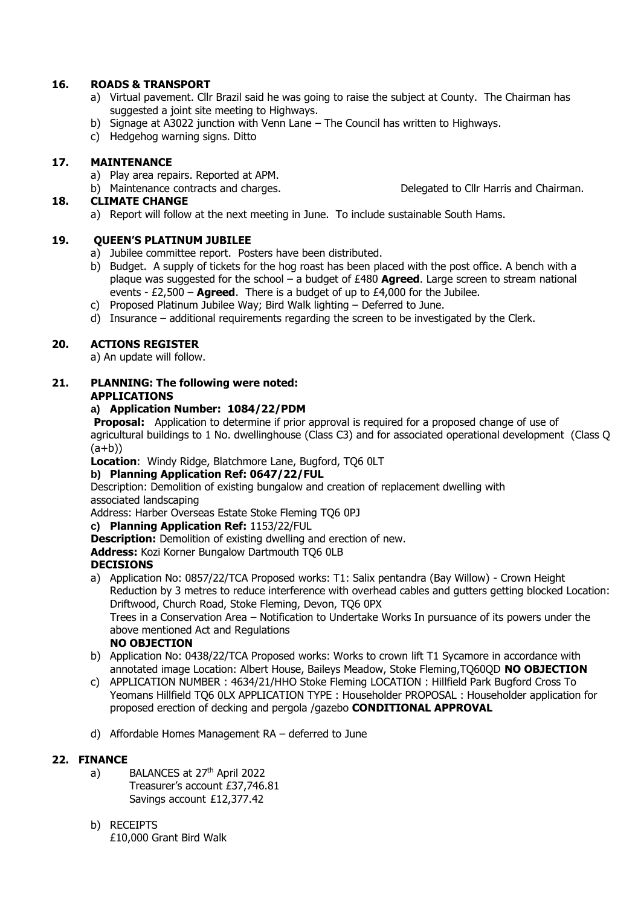## **16. ROADS & TRANSPORT**

- a) Virtual pavement. Cllr Brazil said he was going to raise the subject at County. The Chairman has suggested a joint site meeting to Highways.
- b) Signage at A3022 junction with Venn Lane The Council has written to Highways.
- c) Hedgehog warning signs. Ditto

## **17. MAINTENANCE**

a) Play area repairs. Reported at APM.

# **18. CLIMATE CHANGE**

a) Report will follow at the next meeting in June. To include sustainable South Hams.

## **19. QUEEN'S PLATINUM JUBILEE**

- a) Jubilee committee report. Posters have been distributed.
- b) Budget. A supply of tickets for the hog roast has been placed with the post office. A bench with a plaque was suggested for the school – a budget of £480 **Agreed**. Large screen to stream national events - £2,500 – **Agreed**. There is a budget of up to £4,000 for the Jubilee.
- c) Proposed Platinum Jubilee Way; Bird Walk lighting Deferred to June.
- d) Insurance additional requirements regarding the screen to be investigated by the Clerk.

# **20. ACTIONS REGISTER**

a) An update will follow.

## **21. PLANNING: The following were noted: APPLICATIONS**

## **a) Application Number: 1084/22/PDM**

**Proposal:** Application to determine if prior approval is required for a proposed change of use of agricultural buildings to 1 No. dwellinghouse (Class C3) and for associated operational development (Class Q  $(a+b)$ 

**Location:** Windy Ridge, Blatchmore Lane, Bugford, TO6 0LT

# **b) Planning Application Ref: 0647/22/FUL**

Description: Demolition of existing bungalow and creation of replacement dwelling with associated landscaping

Address: Harber Overseas Estate Stoke Fleming TQ6 0PJ

**c) Planning Application Ref:** 1153/22/FUL

**Description:** Demolition of existing dwelling and erection of new.

**Address:** Kozi Korner Bungalow Dartmouth TQ6 0LB

# **DECISIONS**

- a) Application No: 0857/22/TCA Proposed works: T1: Salix pentandra (Bay Willow) Crown Height Reduction by 3 metres to reduce interference with overhead cables and gutters getting blocked Location: Driftwood, Church Road, Stoke Fleming, Devon, TQ6 0PX Trees in a Conservation Area – Notification to Undertake Works In pursuance of its powers under the above mentioned Act and Regulations
	- **NO OBJECTION**
- b) Application No: 0438/22/TCA Proposed works: Works to crown lift T1 Sycamore in accordance with annotated image Location: Albert House, Baileys Meadow, Stoke Fleming,TQ60QD **NO OBJECTION**
- c) APPLICATION NUMBER : 4634/21/HHO Stoke Fleming LOCATION : Hillfield Park Bugford Cross To Yeomans Hillfield TQ6 0LX APPLICATION TYPE : Householder PROPOSAL : Householder application for proposed erection of decking and pergola /gazebo **CONDITIONAL APPROVAL**
- d) Affordable Homes Management RA deferred to June

# **22. FINANCE**

- a) BALANCES at 27<sup>th</sup> April 2022 Treasurer's account £37,746.81 Savings account £12,377.42
- b) RECEIPTS £10,000 Grant Bird Walk

b) Maintenance contracts and charges. Delegated to Cllr Harris and Chairman.